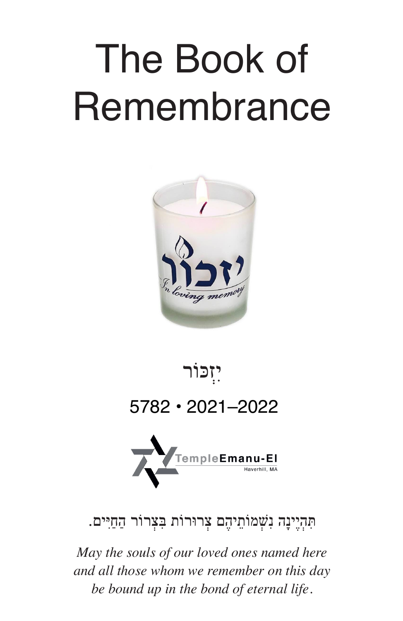# The Book of **Remembrance**





הִנְיֶיָנָה נִשְׁמוֹתֵיהֶם צְרוּרוֹת בִּצְרוֹר הַחַיִּים.

*May the souls of our loved ones named here and all those whom we remember on this day be bound up in the bond of eternal life.*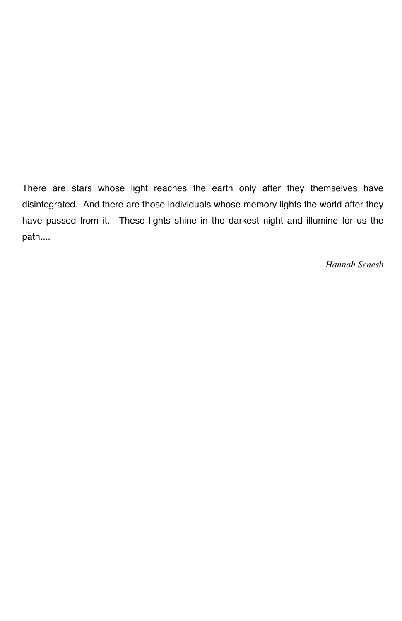There are stars whose light reaches the earth only after they themselves have disintegrated. And there are those individuals whose memory lights the world after they have passed from it. These lights shine in the darkest night and illumine for us the path....

*Hannah Senesh*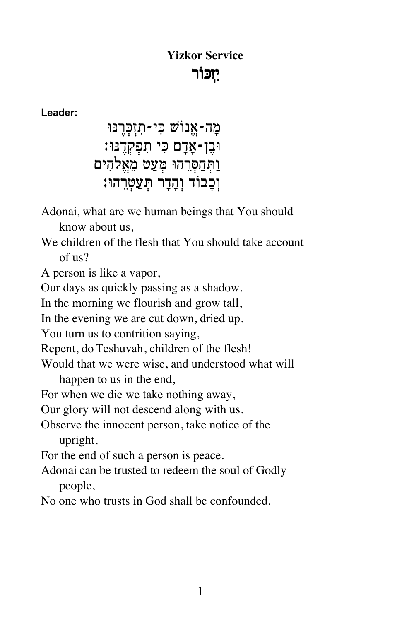# **Yizkor Service** יִזְכּוֹר

Leader:

מַה-אֵנוֹשׁ כִּי-תִזְכְּרֵנּוּ ּוּבֶן-אָדָם כִּי תִפְקְדֶנּוּ׃ וַתְּחַסְּרֵהוּ מְּעַט מֶאֱלֹהִים וִכְבוֹד וְהַדֵר תְּעַטְרָהוּ:

Adonai, what are we human beings that You should

know about us.

We children of the flesh that You should take account  $of us?$ 

A person is like a vapor,

Our days as quickly passing as a shadow.

In the morning we flourish and grow tall,

In the evening we are cut down, dried up.

You turn us to contrition saying,

Repent, do Teshuvah, children of the flesh!

Would that we were wise, and understood what will

happen to us in the end,

For when we die we take nothing away,

Our glory will not descend along with us.

Observe the innocent person, take notice of the upright,

For the end of such a person is peace.

Adonai can be trusted to redeem the soul of Godly people.

No one who trusts in God shall be confounded.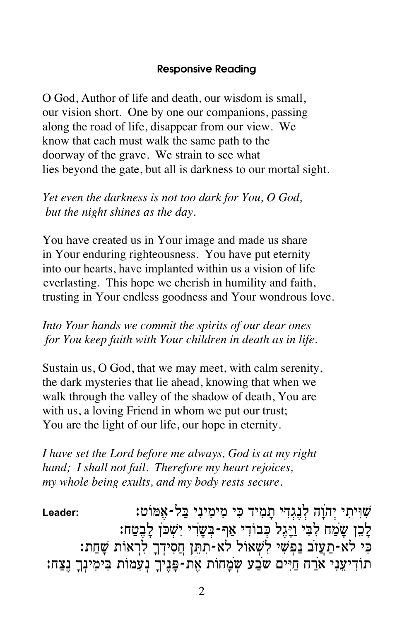# **Responsive Reading**

O God, Author of life and death, our wisdom is small, our vision short. One by one our companions, passing along the road of life, disappear from our view. We know that each must walk the same path to the doorway of the grave. We strain to see what lies beyond the gate, but all is darkness to our mortal sight.

Yet even the darkness is not too dark for You, O God, but the night shines as the day.

You have created us in Your image and made us share in Your enduring righteousness. You have put eternity into our hearts, have implanted within us a vision of life everlasting. This hope we cherish in humility and faith, trusting in Your endless goodness and Your wondrous love.

Into Your hands we commit the spirits of our dear ones for You keep faith with Your children in death as in life.

Sustain us, O God, that we may meet, with calm serenity, the dark mysteries that lie ahead, knowing that when we walk through the valley of the shadow of death, You are with us, a loving Friend in whom we put our trust; You are the light of our life, our hope in eternity.

I have set the Lord before me always, God is at my right hand; I shall not fail. Therefore my heart rejoices, my whole being exults, and my body rests secure.

שִׁוְּיתִי יְהֹוֵה לְנֵגְדִי תַמְיד כִּי מִימִינִי בַּל-אָמּוֹט: Leader: לְכֵן שָׁמַח לְבִי וַיָּגֶל כְּבוֹדִי אַף-בְּשָׂרִי יִשְׁכֹּן לָבֶטַח: י דר האים בפְשִׁי לִשְאוֹל לֹא-תִתֵּן חֲסִידְךָ לִרְאוֹת שָׁחַת: תודיעני ארח חיים שבע שמחות את-פניך נעמות בימינך נצח: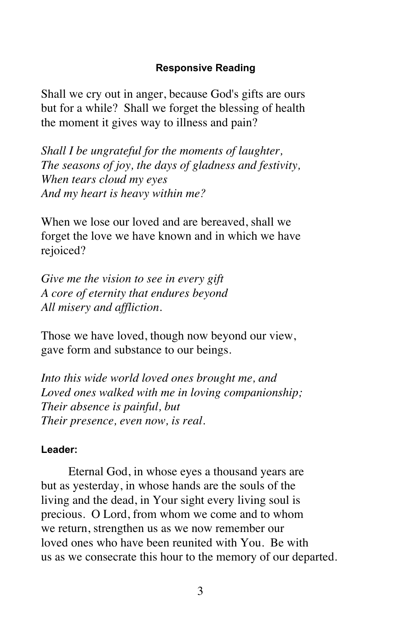# **Responsive Reading**

Shall we cry out in anger, because God's gifts are ours but for a while? Shall we forget the blessing of health the moment it gives way to illness and pain?

*Shall I be ungrateful for the moments of laughter, The seasons of joy, the days of gladness and festivity, When tears cloud my eyes And my heart is heavy within me?*

When we lose our loved and are bereaved, shall we forget the love we have known and in which we have rejoiced?

*Give me the vision to see in every gift A core of eternity that endures beyond All misery and affliction.*

Those we have loved, though now beyond our view, gave form and substance to our beings.

*Into this wide world loved ones brought me, and Loved ones walked with me in loving companionship; Their absence is painful, but Their presence, even now, is real.*

# **Leader:**

Eternal God, in whose eyes a thousand years are but as yesterday, in whose hands are the souls of the living and the dead, in Your sight every living soul is precious. O Lord, from whom we come and to whom we return, strengthen us as we now remember our loved ones who have been reunited with You. Be with us as we consecrate this hour to the memory of our departed.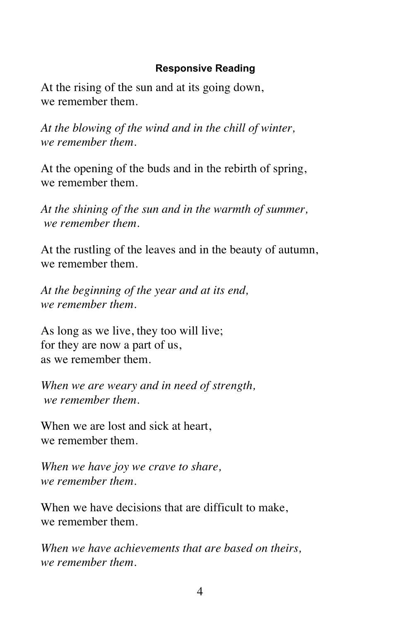# **Responsive Reading**

At the rising of the sun and at its going down, we remember them.

*At the blowing of the wind and in the chill of winter, we remember them.*

At the opening of the buds and in the rebirth of spring, we remember them.

*At the shining of the sun and in the warmth of summer, we remember them.*

At the rustling of the leaves and in the beauty of autumn, we remember them.

*At the beginning of the year and at its end, we remember them.*

As long as we live, they too will live; for they are now a part of us, as we remember them.

*When we are weary and in need of strength, we remember them.*

When we are lost and sick at heart, we remember them.

*When we have joy we crave to share, we remember them.*

When we have decisions that are difficult to make, we remember them.

*When we have achievements that are based on theirs, we remember them.*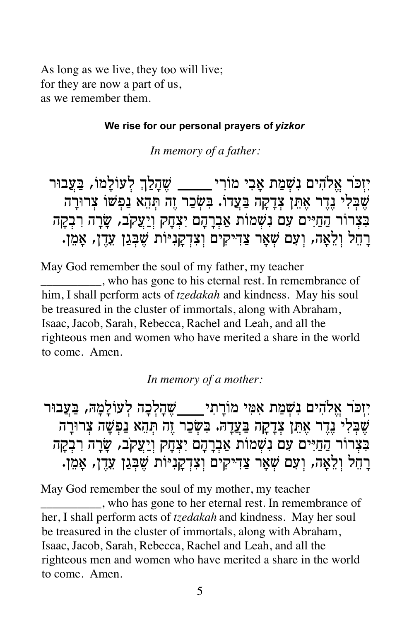As long as we live, they too will live; for they are now a part of us, as we remember them.

# **We rise for our personal prayers of** *yizkor*

*In memory of a father:*

יִזִכּר אֵלֹהִים נִשְׁמַת אָבִי מוֹרִי **\_\_\_\_\_\_ שֶׁהָלַךְ לְעוֹלָמוֹ, בַּעֲבוּר** ֿשֻׁבָּלִי נֵדֵר אָתֵן צְדַקַה בַּעֲדוֹ. בִּשְׂכַר זֶה תְּהָא נַפְשׁוֹ צְרוּרַה בצרור החיים עם נשמות אברהם יצחק ויעקב, שרה רבקה רחל ולאה, ועם שאר צדיקים וצדקניּוֹת שבגן עדן, אמן.

May God remember the soul of my father, my teacher \_\_\_\_\_\_\_\_\_\_, who has gone to his eternal rest. In remembrance of him, I shall perform acts of *tzedakah* and kindness. May his soul be treasured in the cluster of immortals, along with Abraham, Isaac, Jacob, Sarah, Rebecca, Rachel and Leah, and all the righteous men and women who have merited a share in the world to come. Amen.

*In memory of a mother:*

¯e·⁄ÚÃa ¨dÀÓÀÏ«ÚŸÏ ‰ÀΟÏÀ‰�÷ È!˙T«Ó Èœnœ‡ ˙ÃÓ"÷� ÌÈœ‰¿¤‡ ¯›k�Ê�È ֿשֶׁבִּלִי נֵדֵר אָתֵן צִדָקַה בַּעֲדָהּ. בִּשְׂכַר זֶה תְּהֵא נַפְּשָׁה צְרוּרָה בִּצִרוֹר הַחַיִּים עִם נִשְׁמוֹת אַבְרָהָם יִצְחָק וְיַצֲקֹב, שָׂרָה רִבְקָה ּרָחֵל וְלֵאָה, וְעִם שְׁאָר צַדִּיקִים וְצִדְקָנִיּוֹת שֶׁבְּגַן עֵדֶן, אָמֵן.

May God remember the soul of my mother, my teacher \_\_\_\_\_\_\_\_\_\_, who has gone to her eternal rest. In remembrance of her, I shall perform acts of *tzedakah* and kindness. May her soul be treasured in the cluster of immortals, along with Abraham, Isaac, Jacob, Sarah, Rebecca, Rachel and Leah, and all the righteous men and women who have merited a share in the world to come. Amen.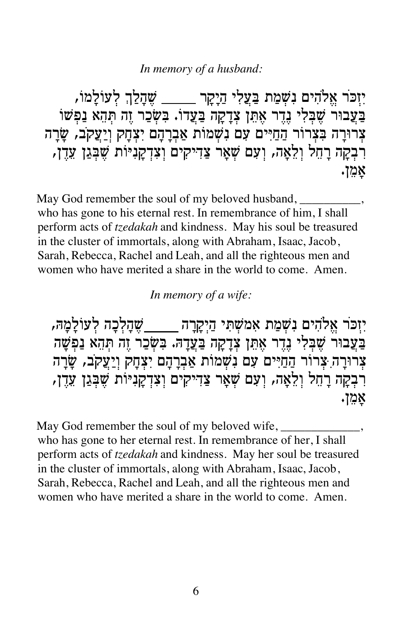# In memory of a husband:

יִזְכֹּר אֱלֹהִים נִשְׁמַת בַּעֲלִי הַיָקָר \_\_\_\_\_ שֵׁהָלַךְ לְעוֹלָמוֹ, בַּעֲבוּר שֶׁבִּלִי נָדֵר אָתֵן צְדַקַה בַּעֲדוֹ. בִּשְׂכַר זֶה תְּהָא נַפִּשׁוֹ צְרוּרָה בִּצְרוֹר הַחַיִּים עִם נִשְׁמוֹת אַבְרָהָם יִצְחָק וְיַעֲקֹב, שָׂרָה רִבְקָה רָחֵל וְלֵאָה, וְעָם שְׁאָר צַדִיקִים וְצִדְקָנִיּוֹת שֶׁבְּגַן עֵדֶן, אמן.

May God remember the soul of my beloved husband, who has gone to his eternal rest. In remembrance of him, I shall perform acts of *tzedakah* and kindness. May his soul be treasured in the cluster of immortals, along with Abraham, Isaac, Jacob, Sarah, Rebecca, Rachel and Leah, and all the righteous men and women who have merited a share in the world to come. Amen.

# In memory of a wife:

יִזְכֹּר אֱלֹהִים נִשְׁמַת אָמֹשָׁתְּי הַיִקְרַה — שֵׁהַלְכָה לְעוֹלַמַה, בַּעֲבוּר שֵׁבִּלִי נֵדֵר אָתֵן צְדָקָה בַּעֲדָהּ. בִּשְׂכַר זֵה תִּהָא נַפִּשָּׁה צְרוּרַה יִצְרוֹר הַחַיִּים עָם נִשְׁמוֹת אֲבְרַהַם יִצְחַק וְיַעֲקֹב, שַׂרַה רִבְקָה רָחֵל וְלֵאָה, וְעָם שְׁאָר צַדִיקִים וְצִדְקָנִיּוֹת שֶׁבְּגַן עֵדֶן, אמן.

May God remember the soul of my beloved wife, who has gone to her eternal rest. In remembrance of her, I shall perform acts of *tzedakah* and kindness. May her soul be treasured in the cluster of immortals, along with Abraham, Isaac, Jacob, Sarah, Rebecca, Rachel and Leah, and all the righteous men and women who have merited a share in the world to come. Amen.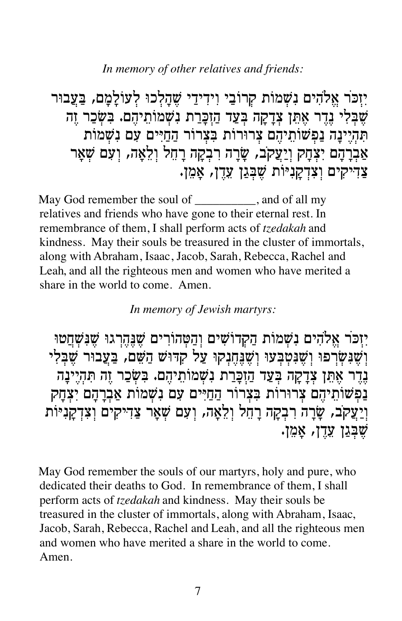In memory of other relatives and friends:

יזכר אלהים נשמות קרובי וידידי שהלכו לעולמם, בעבור שֶׁבִּלִי נֵדֵר אָתֵן צְדָקָה בְּעַד הַזָּבָרַת נִשְׁמֹוֹתֵיהֶם. בִּשְׂכַר זֶה תהיינה נפשותיהם צרורות בצרור החיים עם נשמות אַבְרָהָם יִצְהָק וְיַעֲקֹב, שָׂרָה רִבְקָה רָחֵל וְלֵאֲה, וִעָם שָׁאַר צדיקים וצדקניות שבגן עדן, אמן.

May God remember the soul of \_\_\_\_\_\_\_\_\_\_, and of all my relatives and friends who have gone to their eternal rest. In remembrance of them, I shall perform acts of *tzedakah* and kindness. May their souls be treasured in the cluster of immortals, along with Abraham, Isaac, Jacob, Sarah, Rebecca, Rachel and Leah, and all the righteous men and women who have merited a share in the world to come. Amen.

# In memory of Jewish martyrs:

יזכר אלהים נשמות הקדושים והטהורים שנהרגו שנשחטו וְשָׁנִשְׂרִפוּ וְשֶׁנִּטְבְעוּ וְשֶׁנֵחֲנְקוּ עַל קְדּוּשׁ הַשָּׁם, בַּעֲבוּר שֶׁבָּלִי נדר אתן צדקה בעד הזכרת נשמותיהם. בשכר זה תהיינה נפשותיהם צרורות בצרור החיים עם נשמות אברהם יצחק ויַעַקֹב, שׂרה רבקה רחל ולאה, ועם שאר צדיקים וצדקניּוֹת שבגן עדן, אמן.

May God remember the souls of our martyrs, holy and pure, who dedicated their deaths to God. In remembrance of them, I shall perform acts of tzedakah and kindness. May their souls be treasured in the cluster of immortals, along with Abraham, Isaac, Jacob, Sarah, Rebecca, Rachel and Leah, and all the righteous men and women who have merited a share in the world to come. Amen.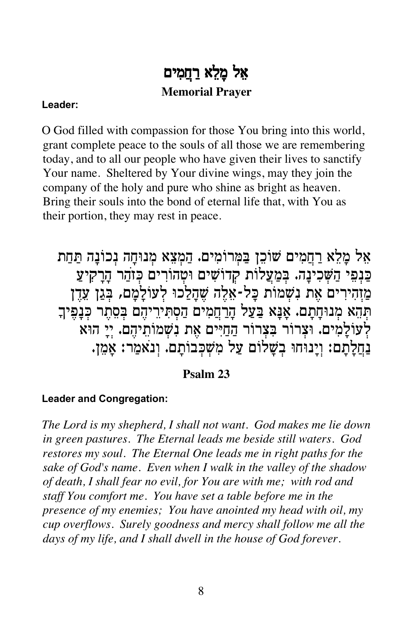# אֱל מַלֵא רַחֲמִים **Memorial Prayer**

# Leader:

O God filled with compassion for those You bring into this world, grant complete peace to the souls of all those we are remembering today, and to all our people who have given their lives to sanctify Your name. Sheltered by Your divine wings, may they join the company of the holy and pure who shine as bright as heaven. Bring their souls into the bond of eternal life that, with You as their portion, they may rest in peace.

אֵל מַלֵא רַחֲמִים שׁוֹכֵן בַּמְּרוֹמִים. הַמְצֵא מְנוּחַה נְכוֹנַה תַּחַת כַּנְפִי הַשְּׁכִינָה. בְּמַעֲלוֹת קְדוֹשִׁים וּטְהוֹרִים כְּזֹהַר הָרָקִיעַ מַזְהִירִים אֶת נִשְׁמוֹת כָּל-אֶלֶה שֶׁהָלַכוּ לְעוֹלַמֲם, בְּגַן עֲדֶן תְּהָא מְנוּחַתַם. אַנַּא בַּעַל הַרַחֲמִים הַסְתִּירֵיהֶם בִּסֻתֶר כְּנַפֵּיךָ לְעוֹלָמִים. וּצְרוֹר בִּצְרוֹר הַחַיִּים אֶת נִשְׁמוֹתֵיהֵם. יִיַ הוּא נַחֲלָתָם: וְיָנוּחוּ בִשָּׁלוֹם עַל מִשְׁכְּבוֹתָם. וְנֹאמַר: אָמֶן.

# Psalm 23

# **Leader and Congregation:**

The Lord is my shepherd, I shall not want. God makes me lie down in green pastures. The Eternal leads me beside still waters. God restores my soul. The Eternal One leads me in right paths for the sake of God's name. Even when I walk in the valley of the shadow of death, I shall fear no evil, for You are with me; with rod and staff You comfort me. You have set a table before me in the presence of my enemies; You have anointed my head with oil, my cup overflows. Surely goodness and mercy shall follow me all the days of my life, and I shall dwell in the house of God forever.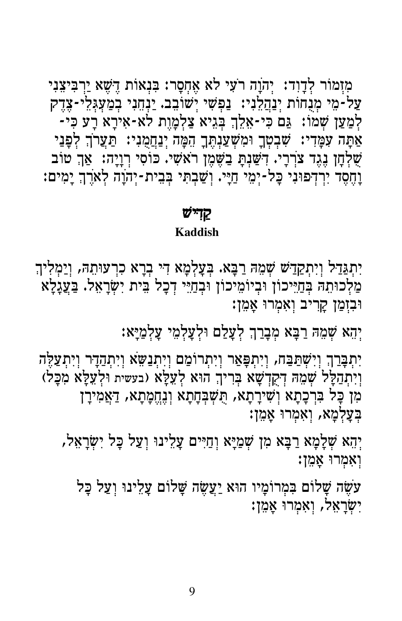מְזַמּוֹר לְדַוְד: יְהֹוֵה רֹעָי לֹא אֲחִסַר: בִּנְאוֹת דֵשָׁא יַרְבִּיצֶנְי עַל-מֵי מְנֻחוֹת יְנַהֲלֵנִי: נַפְּשִׁי יְשׁוֹבִב. יַנְחֵנִי בְמַעֲגְלֵי-צֶדֶק לְמַעַן שְׁמוֹ: גַּם כִּי-אָלֵךְ בְּגִיא צַלְמָוֶת לֹא-אִירָא רָע כִּי-אַתָּה עִמָּדִי: שִׁבְטְךָ וּמִשְׁעַנְתֶּךָ הִמָּה יְנַחֲמֻנִי: תַּעֲרֹךְ לְפָּנַי שָׁלְחָן נִגֵד צֹרְרָי. דְּשַׁנִתָּ בַשֶּׁמֶן רֹאשִׁי. כּוֹסִי רְוָיָה: אַךְ טוֹב וָחֵסֵד יִרְדִּפּוּנִי כָּל-יִמֵי חַיַּי. וְשַׁבְתִּי בִּבִית-יִהוָה לְאֹרֵךְ יָמִים:

# קַדִישׁ

# **Kaddish**

יִתְגַּדַל וְיִתְקַדַיֹשׁ שְׁמֵהּ רַבָּא. בְּעָלְמָא דִי בְרָא כִרְעוּתֵהּ, וְיַמְלִיךְ מַלְכוּתֵה בְחַיֵּיכוֹן וּבְיוֹמֵיכוֹן וּבְחַיֵּי דְכָל בֵּית יִשְׂרָאֵל. בַּעֲגָלָא וּבִזְמַן קָרִיב וְאִמְרוּ אָמֵן:

יְהָא שְׁמִהּ רַבָּא מְבָרַךְ לְעָלַם וּלְעָלְמֵי עָלְמַיָּא:

יִתְבָּרַךְ וְיִשְׁתַּבַּח, וְיִתְפָּאַר וְיִתְרוֹמֵם וְיִתְנַשָּׁא וְיִתְהַדָּר וְיִתְעַלֶּה וְיִתְהַלָּל שְׁמֵהּ דְקִדְשָׁא בְּרִיךְ הוּא לְעֵלָּא (בעשית וּלְעֵלָּא מִכָּל) מִן כָּל בִּרְכָתָא וְשִׁירָתָא, הַשְׁבְּחָתָא וְנֶחֱמָתָא, דַאֲמִירָן בְּעֲלִמָא, וְאָמְרוּ אֲמֵן:

יִהָא שָׁלָמָא רַבָּא מִן שִׁמַיָּא וְחַיִּים עַלִינוּ וְעַל כָּל יִשְׂרָאָל, וְאָמְרוּ אֲמֵן:

עֹשֶׂה שָׁלוֹם בִּמְרוֹמַיו הוּא יַעֲשֶׂה שָׁלוֹם עַלִינוּ וְעַל כָּל יִשְׂרָאֵל, וְאָמְרוּ אֲמֵן: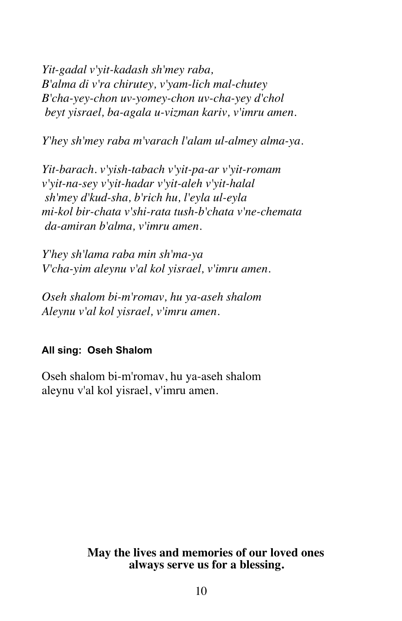*Yit-gadal v'yit-kadash sh'mey raba, B'alma di v'ra chirutey, v'yam-lich mal-chutey B'cha-yey-chon uv-yomey-chon uv-cha-yey d'chol beyt yisrael, ba-agala u-vizman kariv, v'imru amen.*

*Y'hey sh'mey raba m'varach l'alam ul-almey alma-ya.*

*Yit-barach. v'yish-tabach v'yit-pa-ar v'yit-romam v'yit-na-sey v'yit-hadar v'yit-aleh v'yit-halal sh'mey d'kud-sha, b'rich hu, l'eyla ul-eyla mi-kol bir-chata v'shi-rata tush-b'chata v'ne-chemata da-amiran b'alma, v'imru amen.*

*Y'hey sh'lama raba min sh'ma-ya V'cha-yim aleynu v'al kol yisrael, v'imru amen.*

*Oseh shalom bi-m'romav, hu ya-aseh shalom Aleynu v'al kol yisrael, v'imru amen.*

# **All sing: Oseh Shalom**

Oseh shalom bi-m'romav, hu ya-aseh shalom aleynu v'al kol yisrael, v'imru amen.

# **May the lives and memories of our loved ones always serve us for a blessing.**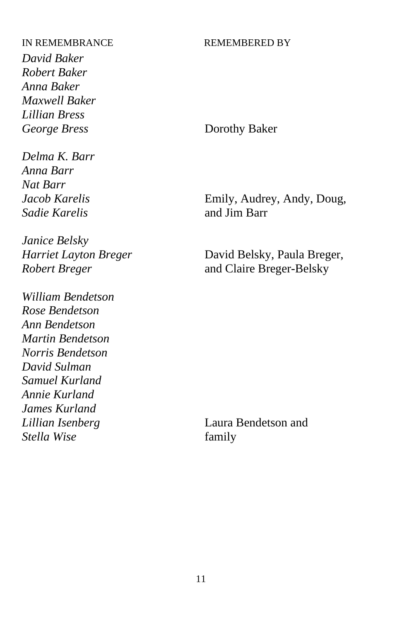*David Baker Robert Baker Anna Baker Maxwell Baker Lillian Bress* **George Bress** Dorothy Baker

*Delma K. Barr Anna Barr Nat Barr Sadie Karelis* and Jim Barr

*Janice Belsky*

*William Bendetson Rose Bendetson Ann Bendetson Martin Bendetson Norris Bendetson David Sulman Samuel Kurland Annie Kurland James Kurland Lillian Isenberg* Laura Bendetson and *Stella Wise* family

*Jacob Karelis* Emily, Audrey, Andy, Doug,

*Harriet Layton Breger* David Belsky, Paula Breger, *Robert Breger* and Claire Breger-Belsky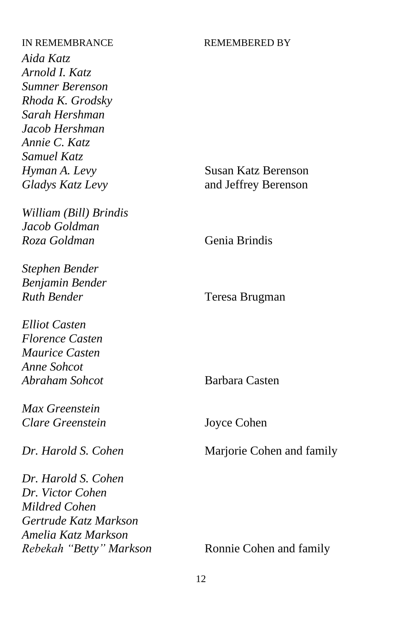*Aida Katz Arnold I. Katz Sumner Berenson Rhoda K. Grodsky Sarah Hershman Jacob Hershman Annie C. Katz Samuel Katz Hyman A. Levy* Susan Katz Berenson

*William (Bill) Brindis Jacob Goldman Roza Goldman* Genia Brindis

*Stephen Bender Benjamin Bender Ruth Bender* Teresa Brugman

*Elliot Casten Florence Casten Maurice Casten Anne Sohcot Abraham Sohcot* Barbara Casten

*Max Greenstein Clare Greenstein* Joyce Cohen

*Dr. Harold S. Cohen Dr. Victor Cohen Mildred Cohen Gertrude Katz Markson Amelia Katz Markson Rebekah "Betty" Markson* **Ronnie Cohen and family** 

*Gladys Katz Levy* and Jeffrey Berenson

*Dr. Harold S. Cohen* Marjorie Cohen and family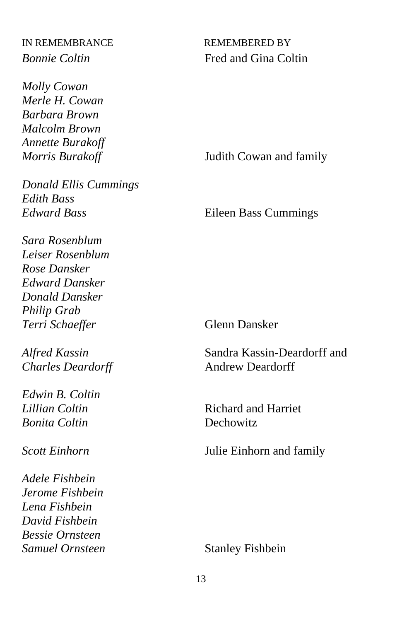*Molly Cowan Merle H. Cowan Barbara Brown Malcolm Brown Annette Burakoff*

*Donald Ellis Cummings Edith Bass Edward Bass* Eileen Bass Cummings

*Sara Rosenblum Leiser Rosenblum Rose Dansker Edward Dansker Donald Dansker Philip Grab*  **Terri Schaeffer** Glenn Dansker

**Charles Deardorff** Andrew Deardorff

*Edwin B. Coltin Bonita Coltin* Dechowitz

*Adele Fishbein Jerome Fishbein Lena Fishbein David Fishbein Bessie Ornsteen* **Samuel Ornsteen** Stanley Fishbein

IN REMEMBRANCE REMEMBERED BY *Bonnie Coltin* Fred and Gina Coltin

*Morris Burakoff* **Judith Cowan and family** 

*Alfred Kassin* Sandra Kassin-Deardorff and

**Richard and Harriet** 

*Scott Einhorn* Julie Einhorn and family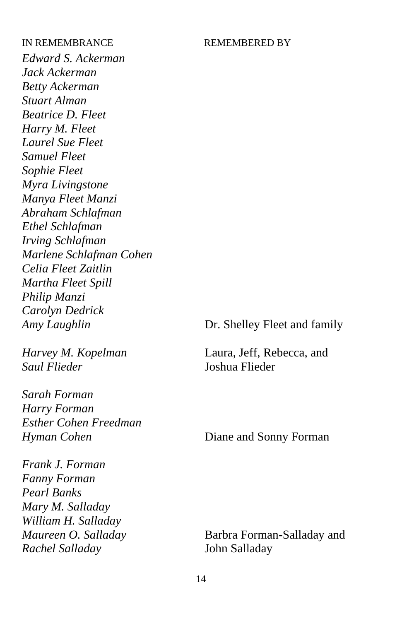*Edward S. Ackerman Jack Ackerman Betty Ackerman Stuart Alman Beatrice D. Fleet Harry M. Fleet Laurel Sue Fleet Samuel Fleet Sophie Fleet Myra Livingstone Manya Fleet Manzi Abraham Schlafman Ethel Schlafman Irving Schlafman Marlene Schlafman Cohen Celia Fleet Zaitlin Martha Fleet Spill Philip Manzi Carolyn Dedrick Amy Laughlin* **Dr.** Shelley Fleet and family

*Saul Flieder* Joshua Flieder

*Sarah Forman Harry Forman Esther Cohen Freedman Hyman Cohen* Diane and Sonny Forman

*Frank J. Forman Fanny Forman Pearl Banks Mary M. Salladay William H. Salladay Rachel Salladay* John Salladay

*Harvey M. Kopelman* Laura, Jeff, Rebecca, and

*Maureen O. Salladay* Barbra Forman-Salladay and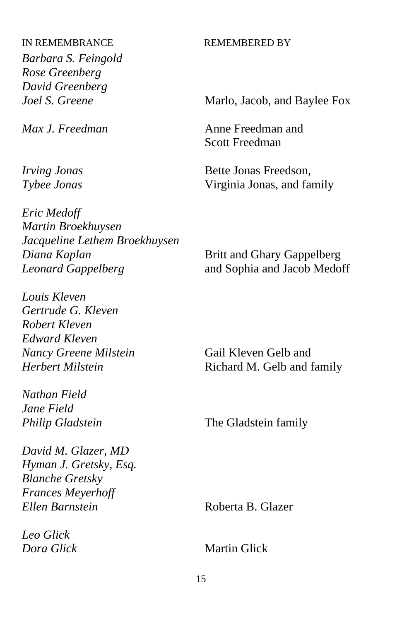*Barbara S. Feingold Rose Greenberg David Greenberg*

*Max J. Freedman* Anne Freedman and

*Eric Medoff Martin Broekhuysen Jacqueline Lethem Broekhuysen Diana Kaplan* Britt and Ghary Gappelberg *Leonard Gappelberg* and Sophia and Jacob Medoff

*Louis Kleven Gertrude G. Kleven Robert Kleven Edward Kleven Nancy Greene Milstein* Gail Kleven Gelb and

*Nathan Field Jane Field*

*David M. Glazer, MD Hyman J. Gretsky, Esq. Blanche Gretsky Frances Meyerhoff Ellen Barnstein* Roberta B. Glazer

*Leo Glick Dora Glick* Martin Glick

*Joel S. Greene* Marlo, Jacob, and Baylee Fox

Scott Freedman

*Irving Jonas* Bette Jonas Freedson, *Tybee Jonas* Virginia Jonas, and family

*Herbert Milstein* **Richard M. Gelb and family** 

*Philip Gladstein* The Gladstein family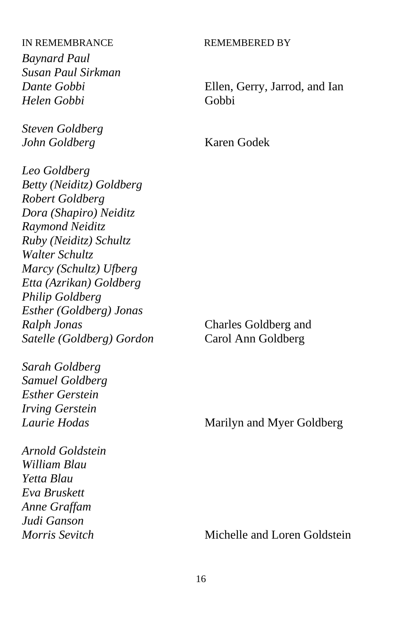*Baynard Paul Susan Paul Sirkman Helen Gobbi* Gobbi

*Steven Goldberg John Goldberg* Karen Godek

*Leo Goldberg Betty (Neiditz) Goldberg Robert Goldberg Dora (Shapiro) Neiditz Raymond Neiditz Ruby (Neiditz) Schultz Walter Schultz Marcy (Schultz) Ufberg Etta (Azrikan) Goldberg Philip Goldberg Esther (Goldberg) Jonas Ralph Jonas* Charles Goldberg and *Satelle (Goldberg) Gordon* Carol Ann Goldberg

*Sarah Goldberg Samuel Goldberg Esther Gerstein Irving Gerstein* 

*Arnold Goldstein William Blau Yetta Blau Eva Bruskett Anne Graffam Judi Ganson*

*Dante Gobbi* Ellen, Gerry, Jarrod, and Ian

*Laurie Hodas* Marilyn and Myer Goldberg

*Morris Sevitch* Michelle and Loren Goldstein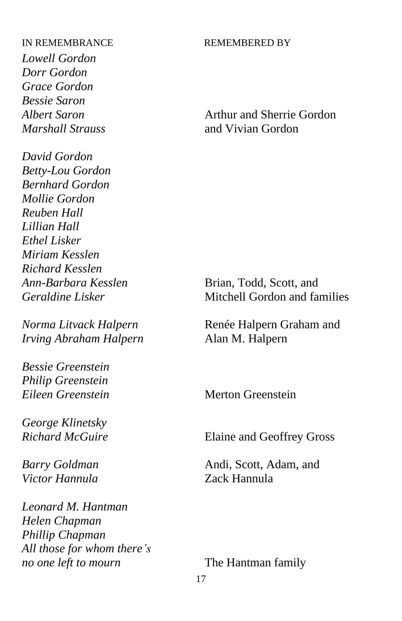*Lowell Gordon Dorr Gordon Grace Gordon Bessie Saron*

*David Gordon Betty-Lou Gordon Bernhard Gordon Mollie Gordon Reuben Hall Lillian Hall Ethel Lisker Miriam Kesslen Richard Kesslen Ann-Barbara Kesslen* Brian, Todd, Scott, and

*Irving Abraham Halpern* Alan M. Halpern

*Bessie Greenstein Philip Greenstein Eileen Greenstein* Merton Greenstein

*George Klinetsky*

*Victor Hannula* Zack Hannula

*Leonard M. Hantman Helen Chapman Phillip Chapman All those for whom there's no one left to mourn* The Hantman family

*Albert Saron* **Arthur and Sherrie Gordon** *Marshall Strauss* and Vivian Gordon

*Geraldine Lisker* Mitchell Gordon and families

*Norma Litvack Halpern* **Renée Halpern Graham and** 

*Richard McGuire* Elaine and Geoffrey Gross

*Barry Goldman* Andi, Scott, Adam, and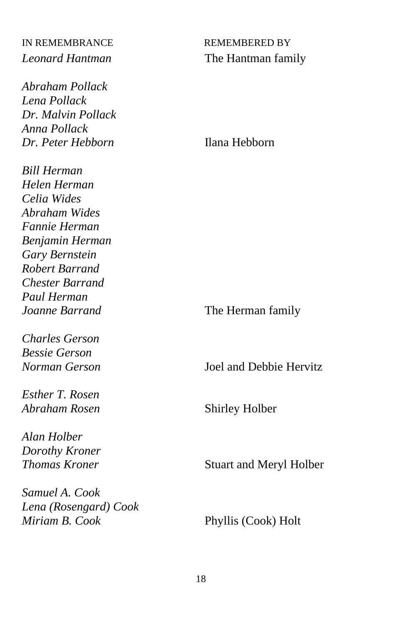*Abraham Pollack Lena Pollack Dr. Malvin Pollack Anna Pollack Dr. Peter Hebborn* Ilana Hebborn

*Bill Herman Helen Herman Celia Wides Abraham Wides Fannie Herman Benjamin Herman Gary Bernstein Robert Barrand Chester Barrand Paul Herman*

*Charles Gerson Bessie Gerson*

*Esther T. Rosen Abraham Rosen* Shirley Holber

*Alan Holber Dorothy Kroner*

*Samuel A. Cook Lena (Rosengard) Cook*

# IN REMEMBRANCE REMEMBERED BY *Leonard Hantman* The Hantman family

*Joanne Barrand* The Herman family

*Norman Gerson* Joel and Debbie Hervitz

**Thomas Kroner** Stuart and Meryl Holber

Phyllis (Cook) Holt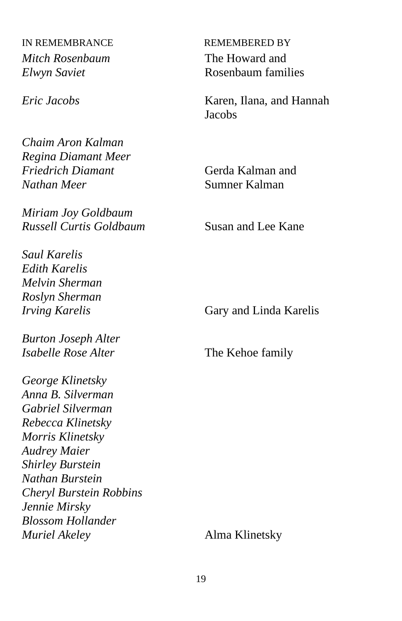IN REMEMBRANCE REMEMBERED BY *Mitch Rosenbaum* The Howard and

*Chaim Aron Kalman Regina Diamant Meer Friedrich Diamant* Gerda Kalman and *Nathan Meer* Sumner Kalman

*Miriam Joy Goldbaum Russell Curtis Goldbaum* Susan and Lee Kane

*Saul Karelis Edith Karelis Melvin Sherman Roslyn Sherman*

*Burton Joseph Alter Isabelle Rose Alter* The Kehoe family

*George Klinetsky Anna B. Silverman Gabriel Silverman Rebecca Klinetsky Morris Klinetsky Audrey Maier Shirley Burstein Nathan Burstein Cheryl Burstein Robbins Jennie Mirsky Blossom Hollander Muriel Akeley* Alma Klinetsky

*Elwyn Saviet* Rosenbaum families

*Eric Jacobs* Karen, Ilana, and Hannah **Jacobs** 

*Irving Karelis* **Gary and Linda Karelis**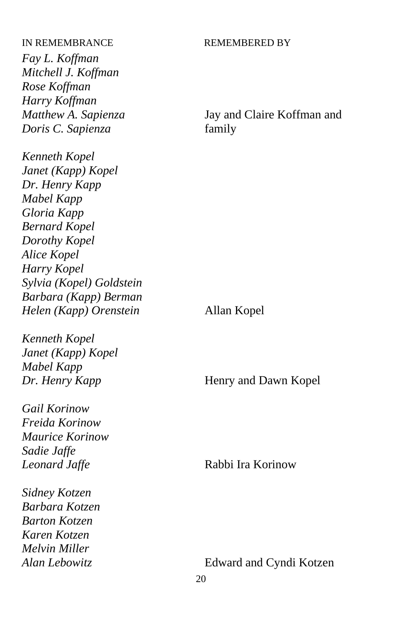*Fay L. Koffman Mitchell J. Koffman Rose Koffman Harry Koffman Doris C. Sapienza* family

*Kenneth Kopel Janet (Kapp) Kopel Dr. Henry Kapp Mabel Kapp Gloria Kapp Bernard Kopel Dorothy Kopel Alice Kopel Harry Kopel Sylvia (Kopel) Goldstein Barbara (Kapp) Berman Helen (Kapp) Orenstein* Allan Kopel

*Kenneth Kopel Janet (Kapp) Kopel Mabel Kapp*

*Gail Korinow Freida Korinow Maurice Korinow Sadie Jaffe Leonard Jaffe* Rabbi Ira Korinow

*Sidney Kotzen Barbara Kotzen Barton Kotzen Karen Kotzen Melvin Miller*

*Matthew A. Sapienza* Jay and Claire Koffman and

*Dr. Henry Kapp* Henry and Dawn Kopel

*Alan Lebowitz* Edward and Cyndi Kotzen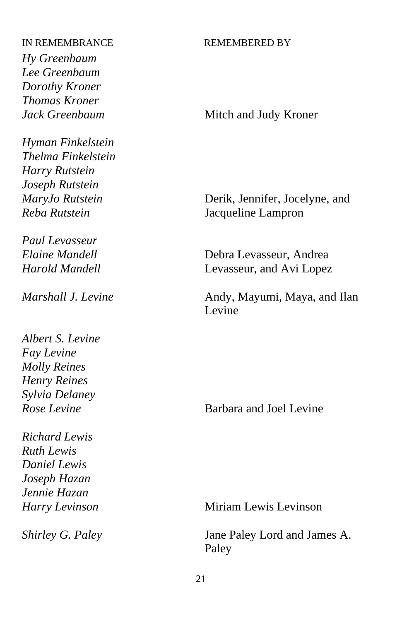*Hy Greenbaum Lee Greenbaum Dorothy Kroner Thomas Kroner*

*Hyman Finkelstein Thelma Finkelstein Harry Rutstein Joseph Rutstein*

*Paul Levasseur*

*Albert S. Levine Fay Levine Molly Reines Henry Reines Sylvia Delaney*

*Richard Lewis Ruth Lewis Daniel Lewis Joseph Hazan Jennie Hazan*

*Jack Greenbaum* Mitch and Judy Kroner

*MaryJo Rutstein* Derik, Jennifer, Jocelyne, and *Reba Rutstein* Jacqueline Lampron

*Elaine Mandell* Debra Levasseur, Andrea *Harold Mandell* Levasseur, and Avi Lopez

*Marshall J. Levine* **Andy, Mayumi, Maya, and Ilan** Levine

*Rose Levine* Barbara and Joel Levine

*Harry Levinson* Miriam Lewis Levinson

*Shirley G. Paley* Jane Paley Lord and James A. Paley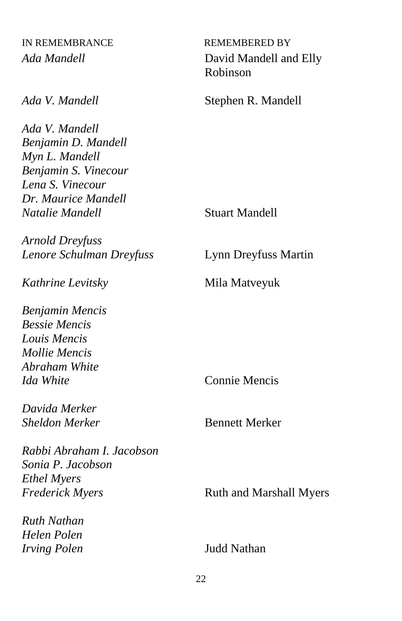*Ada V. Mandell Benjamin D. Mandell Myn L. Mandell Benjamin S. Vinecour Lena S. Vinecour Dr. Maurice Mandell Natalie Mandell* Stuart Mandell

*Arnold Dreyfuss Lenore Schulman Dreyfuss* Lynn Dreyfuss Martin

*Kathrine Levitsky* Mila Matveyuk

*Benjamin Mencis Bessie Mencis Louis Mencis Mollie Mencis Abraham White Ida White* Connie Mencis

*Davida Merker* **Sheldon Merker** Bennett Merker

*Rabbi Abraham I. Jacobson Sonia P. Jacobson Ethel Myers Frederick Myers* Ruth and Marshall Myers

*Ruth Nathan Helen Polen Irving Polen* Judd Nathan

*Ada Mandell* David Mandell and Elly Robinson

*Ada V. Mandell* Stephen R. Mandell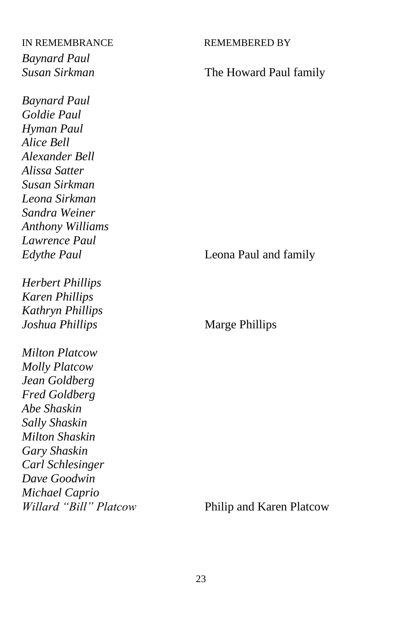*Baynard Paul*

*Baynard Paul Goldie Paul Hyman Paul Alice Bell Alexander Bell Alissa Satter Susan Sirkman Leona Sirkman Sandra Weiner Anthony Williams Lawrence Paul*

*Herbert Phillips Karen Phillips Kathryn Phillips Joshua Phillips* Marge Phillips

*Milton Platcow Molly Platcow Jean Goldberg Fred Goldberg Abe Shaskin Sally Shaskin Milton Shaskin Gary Shaskin Carl Schlesinger Dave Goodwin Michael Caprio Willard "Bill" Platcow* Philip and Karen Platcow

*Susan Sirkman* The Howard Paul family

*Edythe Paul* Leona Paul and family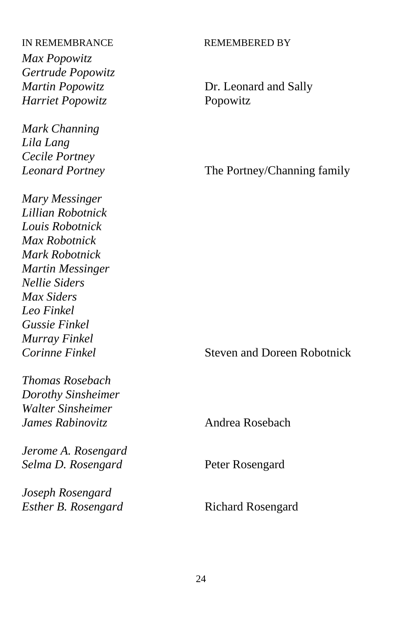*Max Popowitz Gertrude Popowitz Martin Popowitz* Dr. Leonard and Sally *Harriet Popowitz* Popowitz

*Mark Channing Lila Lang Cecile Portney*

*Mary Messinger Lillian Robotnick Louis Robotnick Max Robotnick Mark Robotnick Martin Messinger Nellie Siders Max Siders Leo Finkel Gussie Finkel Murray Finkel*

*Thomas Rosebach Dorothy Sinsheimer Walter Sinsheimer James Rabinovitz* Andrea Rosebach

*Jerome A. Rosengard Selma D. Rosengard* Peter Rosengard

*Joseph Rosengard* **Esther B. Rosengard Richard Rosengard** 

*Leonard Portney* The Portney/Channing family

*Corinne Finkel* Steven and Doreen Robotnick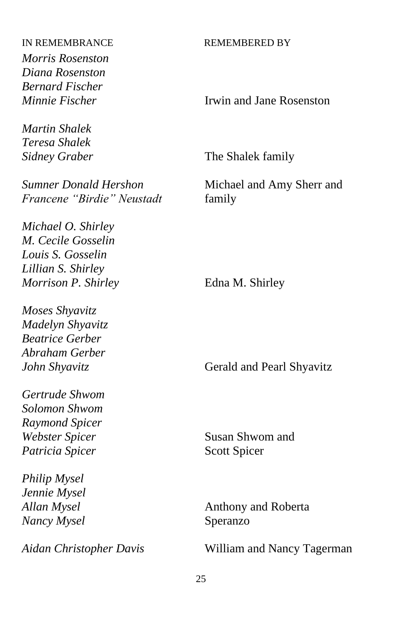*Morris Rosenston Diana Rosenston Bernard Fischer*

*Martin Shalek Teresa Shalek*

*Sumner Donald Hershon* Michael and Amy Sherr and *Francene "Birdie" Neustadt* family

*Michael O. Shirley M. Cecile Gosselin Louis S. Gosselin Lillian S. Shirley Morrison P. Shirley* Edna M. Shirley

*Moses Shyavitz Madelyn Shyavitz Beatrice Gerber Abraham Gerber*

*Gertrude Shwom Solomon Shwom Raymond Spicer Webster Spicer* Susan Shwom and **Patricia Spicer** Scott Spicer

*Philip Mysel Jennie Mysel Nancy Mysel* Speranzo

*Minnie Fischer* **Irwin and Jane Rosenston** 

*Sidney Graber* The Shalek family

*John Shyavitz* Gerald and Pearl Shyavitz

*Allan Mysel* Anthony and Roberta

*Aidan Christopher Davis* William and Nancy Tagerman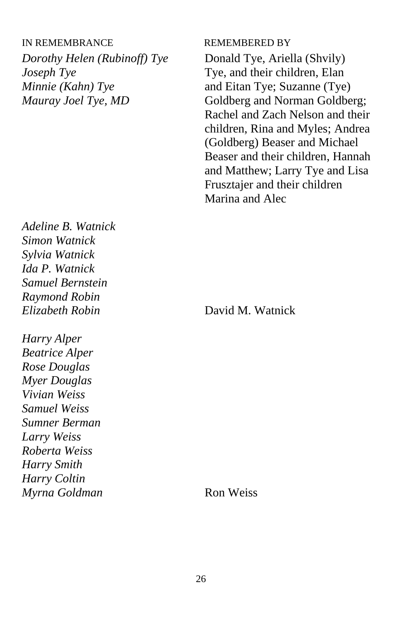*Dorothy Helen (Rubinoff) Tye* Donald Tye, Ariella (Shvily) *Joseph Tye* Tye, and their children, Elan *Minnie (Kahn) Tye* and Eitan Tye; Suzanne (Tye)

*Adeline B. Watnick Simon Watnick Sylvia Watnick Ida P. Watnick Samuel Bernstein Raymond Robin Elizabeth Robin* David M. Watnick

*Harry Alper Beatrice Alper Rose Douglas Myer Douglas Vivian Weiss Samuel Weiss Sumner Berman Larry Weiss Roberta Weiss Harry Smith Harry Coltin Myrna Goldman* Ron Weiss

*Mauray Joel Tye, MD* Goldberg and Norman Goldberg; Rachel and Zach Nelson and their children, Rina and Myles; Andrea (Goldberg) Beaser and Michael Beaser and their children, Hannah and Matthew; Larry Tye and Lisa Frusztajer and their children Marina and Alec